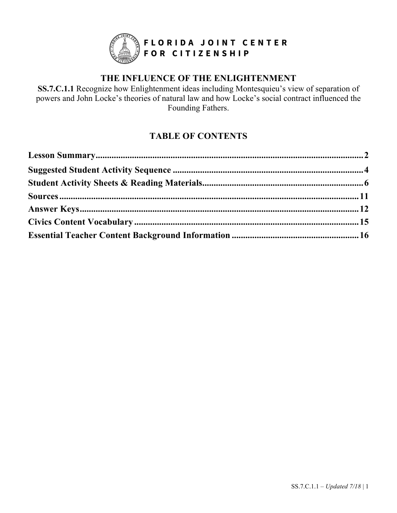

# **THE INFLUENCE OF THE ENLIGHTENMENT**

**SS.7.C.1.1** Recognize how Enlightenment ideas including Montesquieu's view of separation of powers and John Locke's theories of natural law and how Locke's social contract influenced the Founding Fathers.

# **TABLE OF CONTENTS**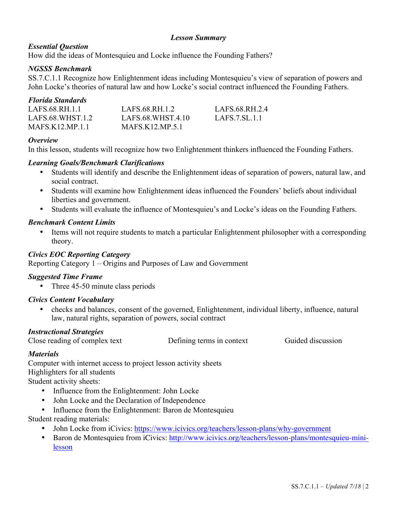# *Lesson Summary*

# *Essential Question*

How did the ideas of Montesquieu and Locke influence the Founding Fathers?

# *NGSSS Benchmark*

SS.7.C.1.1 Recognize how Enlightenment ideas including Montesquieu's view of separation of powers and John Locke's theories of natural law and how Locke's social contract influenced the Founding Fathers.

# *Florida Standards*

| LAFS.68.RH.1.1    | LAFS.68.RH.1.2     | LAFS.68.RH.2.4 |
|-------------------|--------------------|----------------|
| LAFS.68.WHST.1.2  | LAFS.68.WHST.4.10  | LAFS.7.SL.1.1  |
| $MAFS_K12_MP.1.1$ | $MAFS_K12_MP_05.1$ |                |

# *Overview*

In this lesson, students will recognize how two Enlightenment thinkers influenced the Founding Fathers.

# *Learning Goals/Benchmark Clarifications*

- Students will identify and describe the Enlightenment ideas of separation of powers, natural law, and social contract.
- Students will examine how Enlightenment ideas influenced the Founders' beliefs about individual liberties and government.
- Students will evaluate the influence of Montesquieu's and Locke's ideas on the Founding Fathers.

# *Benchmark Content Limits*

• Items will not require students to match a particular Enlightenment philosopher with a corresponding theory.

# *Civics EOC Reporting Category*

Reporting Category 1 – Origins and Purposes of Law and Government

### *Suggested Time Frame*

• Three 45-50 minute class periods

# *Civics Content Vocabulary*

• checks and balances, consent of the governed, Enlightenment, individual liberty, influence, natural law, natural rights, separation of powers, social contract

### *Instructional Strategies*

Close reading of complex text Defining terms in context Guided discussion

# *Materials*

Computer with internet access to project lesson activity sheets Highlighters for all students Student activity sheets:

- Influence from the Enlightenment: John Locke
- John Locke and the Declaration of Independence
- Influence from the Enlightenment: Baron de Montesquieu

Student reading materials:

- John Locke from iCivics: https://www.icivics.org/teachers/lesson-plans/why-government
- Baron de Montesquieu from iCivics: http://www.icivics.org/teachers/lesson-plans/montesquieu-minilesson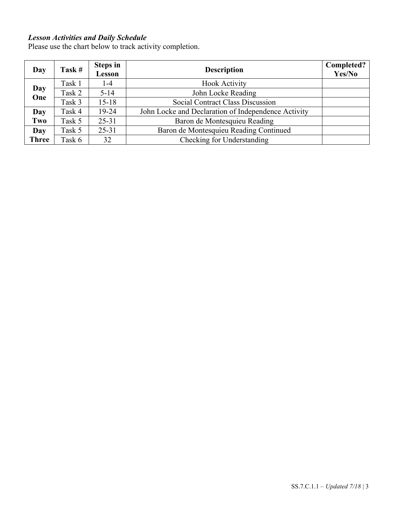# *Lesson Activities and Daily Schedule*

Please use the chart below to track activity completion.

| Day          | Task#  | <b>Steps in</b><br>Lesson | <b>Description</b>                                  | Completed?<br>Yes/No |
|--------------|--------|---------------------------|-----------------------------------------------------|----------------------|
|              | Task 1 | 1-4                       | <b>Hook Activity</b>                                |                      |
| Day<br>One   | Task 2 | $5 - 14$                  | John Locke Reading                                  |                      |
|              | Task 3 | $15 - 18$                 | Social Contract Class Discussion                    |                      |
| Day          | Task 4 | 19-24                     | John Locke and Declaration of Independence Activity |                      |
| Two          | Task 5 | $25 - 31$                 | Baron de Montesquieu Reading                        |                      |
| Day          | Task 5 | $25 - 31$                 | Baron de Montesquieu Reading Continued              |                      |
| <b>Three</b> | Task 6 | 32                        | Checking for Understanding                          |                      |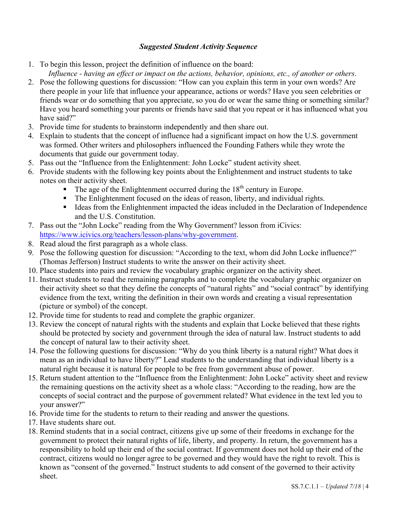# *Suggested Student Activity Sequence*

- 1. To begin this lesson, project the definition of influence on the board:
	- *Influence - having an effect or impact on the actions, behavior, opinions, etc., of another or others*.
- 2. Pose the following questions for discussion: "How can you explain this term in your own words? Are there people in your life that influence your appearance, actions or words? Have you seen celebrities or friends wear or do something that you appreciate, so you do or wear the same thing or something similar? Have you heard something your parents or friends have said that you repeat or it has influenced what you have said?"
- 3. Provide time for students to brainstorm independently and then share out.
- 4. Explain to students that the concept of influence had a significant impact on how the U.S. government was formed. Other writers and philosophers influenced the Founding Fathers while they wrote the documents that guide our government today.
- 5. Pass out the "Influence from the Enlightenment: John Locke" student activity sheet.
- 6. Provide students with the following key points about the Enlightenment and instruct students to take notes on their activity sheet.
	- The age of the Enlightenment occurred during the  $18<sup>th</sup>$  century in Europe.
	- The Enlightenment focused on the ideas of reason, liberty, and individual rights.
	- Ideas from the Enlightenment impacted the ideas included in the Declaration of Independence and the U.S. Constitution.
- 7. Pass out the "John Locke" reading from the Why Government? lesson from iCivics: https://www.icivics.org/teachers/lesson-plans/why-government.
- 8. Read aloud the first paragraph as a whole class.
- 9. Pose the following question for discussion: "According to the text, whom did John Locke influence?" (Thomas Jefferson) Instruct students to write the answer on their activity sheet.
- 10. Place students into pairs and review the vocabulary graphic organizer on the activity sheet.
- 11. Instruct students to read the remaining paragraphs and to complete the vocabulary graphic organizer on their activity sheet so that they define the concepts of "natural rights" and "social contract" by identifying evidence from the text, writing the definition in their own words and creating a visual representation (picture or symbol) of the concept.
- 12. Provide time for students to read and complete the graphic organizer.
- 13. Review the concept of natural rights with the students and explain that Locke believed that these rights should be protected by society and government through the idea of natural law. Instruct students to add the concept of natural law to their activity sheet.
- 14. Pose the following questions for discussion: "Why do you think liberty is a natural right? What does it mean as an individual to have liberty?" Lead students to the understanding that individual liberty is a natural right because it is natural for people to be free from government abuse of power.
- 15. Return student attention to the "Influence from the Enlightenment: John Locke" activity sheet and review the remaining questions on the activity sheet as a whole class: "According to the reading, how are the concepts of social contract and the purpose of government related? What evidence in the text led you to your answer?"
- 16. Provide time for the students to return to their reading and answer the questions.
- 17. Have students share out.
- 18. Remind students that in a social contract, citizens give up some of their freedoms in exchange for the government to protect their natural rights of life, liberty, and property. In return, the government has a responsibility to hold up their end of the social contract. If government does not hold up their end of the contract, citizens would no longer agree to be governed and they would have the right to revolt. This is known as "consent of the governed." Instruct students to add consent of the governed to their activity sheet.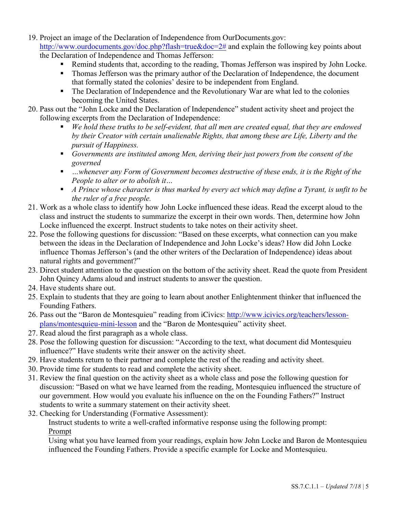- 19. Project an image of the Declaration of Independence from OurDocuments.gov: http://www.ourdocuments.gov/doc.php?flash=true&doc=2# and explain the following key points about the Declaration of Independence and Thomas Jefferson:
	- Remind students that, according to the reading, Thomas Jefferson was inspired by John Locke.
	- Thomas Jefferson was the primary author of the Declaration of Independence, the document that formally stated the colonies' desire to be independent from England.
	- The Declaration of Independence and the Revolutionary War are what led to the colonies becoming the United States.
- 20. Pass out the "John Locke and the Declaration of Independence" student activity sheet and project the following excerpts from the Declaration of Independence:
	- *We hold these truths to be self-evident, that all men are created equal, that they are endowed by their Creator with certain unalienable Rights, that among these are Life, Liberty and the pursuit of Happiness.*
	- § *Governments are instituted among Men, deriving their just powers from the consent of the governed*
	- …whenever any Form of Government becomes destructive of these ends, it is the Right of the *People to alter or to abolish it…*
	- *A Prince whose character is thus marked by every act which may define a Tyrant, is unfit to be the ruler of a free people.*
- 21. Work as a whole class to identify how John Locke influenced these ideas. Read the excerpt aloud to the class and instruct the students to summarize the excerpt in their own words. Then, determine how John Locke influenced the excerpt. Instruct students to take notes on their activity sheet.
- 22. Pose the following questions for discussion: "Based on these excerpts, what connection can you make between the ideas in the Declaration of Independence and John Locke's ideas? How did John Locke influence Thomas Jefferson's (and the other writers of the Declaration of Independence) ideas about natural rights and government?"
- 23. Direct student attention to the question on the bottom of the activity sheet. Read the quote from President John Quincy Adams aloud and instruct students to answer the question.
- 24. Have students share out.
- 25. Explain to students that they are going to learn about another Enlightenment thinker that influenced the Founding Fathers.
- 26. Pass out the "Baron de Montesquieu" reading from iCivics: http://www.icivics.org/teachers/lessonplans/montesquieu-mini-lesson and the "Baron de Montesquieu" activity sheet.
- 27. Read aloud the first paragraph as a whole class.
- 28. Pose the following question for discussion: "According to the text, what document did Montesquieu influence?" Have students write their answer on the activity sheet.
- 29. Have students return to their partner and complete the rest of the reading and activity sheet.
- 30. Provide time for students to read and complete the activity sheet.
- 31. Review the final question on the activity sheet as a whole class and pose the following question for discussion: "Based on what we have learned from the reading, Montesquieu influenced the structure of our government. How would you evaluate his influence on the on the Founding Fathers?" Instruct students to write a summary statement on their activity sheet.
- 32. Checking for Understanding (Formative Assessment):

Instruct students to write a well-crafted informative response using the following prompt: Prompt

Using what you have learned from your readings, explain how John Locke and Baron de Montesquieu influenced the Founding Fathers. Provide a specific example for Locke and Montesquieu.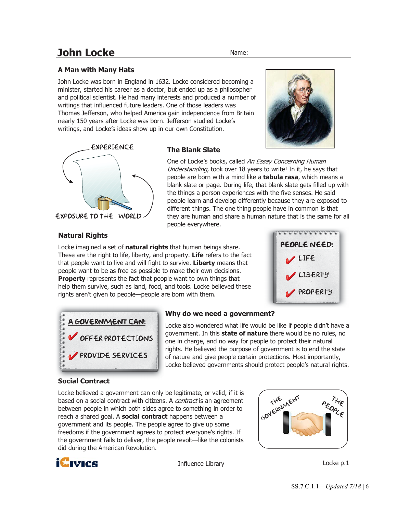# **John Locke** Name:

One of Locke's books, called An Essay Concerning Human Understanding, took over 18 years to write! In it, he savs that people are born with a mind like a **tabula rasa**, which means a blank slate or page. During life, that blank slate gets filled up with the things a person experiences with the five senses. He said people learn and develop differently because they are exposed to different things. The one thing people have in common is that they are human and share a human nature that is the same for all

# **A Man with Many Hats**

John Locke was born in England in 1632. Locke considered becoming a minister, started his career as a doctor, but ended up as a philosopher and political scientist. He had many interests and produced a number of writings that influenced future leaders. One of those leaders was Thomas Jefferson, who helped America gain independence from Britain nearly 150 years after Locke was born. Jefferson studied Locke's writings, and Locke's ideas show up in our own Constitution.

**The Blank Slate** 

people everywhere.



#### EXPOSURE to the World

#### **Natural Rights**

Locke imagined a set of **natural rights** that human beings share. These are the right to life, liberty, and property. **Life** refers to the fact that people want to live and will fight to survive. **Liberty** means that people want to be as free as possible to make their own decisions. **Property** represents the fact that people want to own things that help them survive, such as land, food, and tools. Locke believed these rights aren't given to people—people are born with them.





### **Why do we need a government?**

Locke also wondered what life would be like if people didn't have a government. In this **state of nature** there would be no rules, no one in charge, and no way for people to protect their natural rights. He believed the purpose of government is to end the state of nature and give people certain protections. Most importantly, Locke believed governments should protect people's natural rights.

### **Social Contract**

Locke believed a government can only be legitimate, or valid, if it is based on a social contract with citizens. A *contract* is an agreement between people in which both sides agree to something in order to reach a shared goal. A **social contract** happens between a government and its people. The people agree to give up some freedoms if the government agrees to protect everyone's rights. If the government fails to deliver, the people revolt—like the colonists did during the American Revolution.



Influence Library **Locke p.1** 



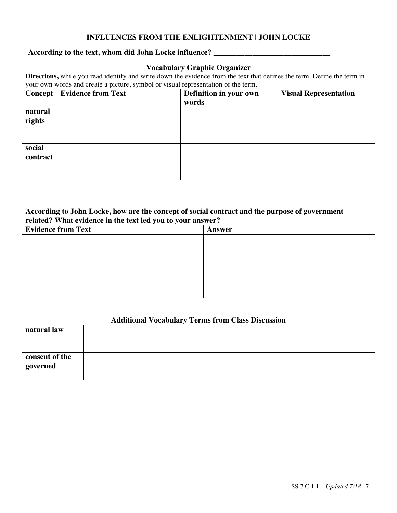# **INFLUENCES FROM THE ENLIGHTENMENT | JOHN LOCKE**

# **According to the text, whom did John Locke influence? \_\_\_\_\_\_\_\_\_\_\_\_\_\_\_\_\_\_\_\_\_\_\_\_\_\_\_\_\_\_**

| <b>Vocabulary Graphic Organizer</b><br>Directions, while you read identify and write down the evidence from the text that defines the term. Define the term in |                                                                                              |  |  |
|----------------------------------------------------------------------------------------------------------------------------------------------------------------|----------------------------------------------------------------------------------------------|--|--|
|                                                                                                                                                                | your own words and create a picture, symbol or visual representation of the term.            |  |  |
| Concept                                                                                                                                                        | <b>Evidence from Text</b><br>Definition in your own<br><b>Visual Representation</b><br>words |  |  |
| natural<br>rights                                                                                                                                              |                                                                                              |  |  |
| social<br><b>contract</b>                                                                                                                                      |                                                                                              |  |  |

| According to John Locke, how are the concept of social contract and the purpose of government<br>related? What evidence in the text led you to your answer? |  |  |
|-------------------------------------------------------------------------------------------------------------------------------------------------------------|--|--|
| <b>Evidence from Text</b><br>Answer                                                                                                                         |  |  |
|                                                                                                                                                             |  |  |
|                                                                                                                                                             |  |  |
|                                                                                                                                                             |  |  |
|                                                                                                                                                             |  |  |
|                                                                                                                                                             |  |  |
|                                                                                                                                                             |  |  |

| <b>Additional Vocabulary Terms from Class Discussion</b> |  |  |
|----------------------------------------------------------|--|--|
| natural law                                              |  |  |
|                                                          |  |  |
|                                                          |  |  |
| consent of the                                           |  |  |
| governed                                                 |  |  |
|                                                          |  |  |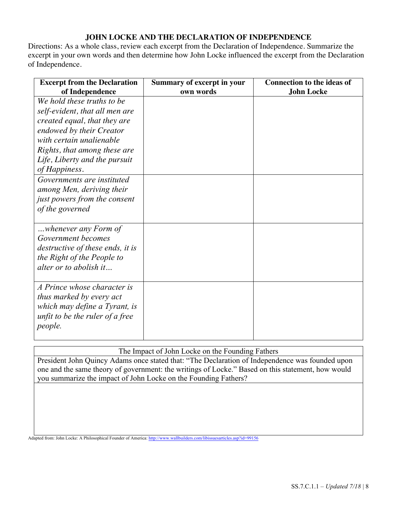# **JOHN LOCKE AND THE DECLARATION OF INDEPENDENCE**

Directions: As a whole class, review each excerpt from the Declaration of Independence. Summarize the excerpt in your own words and then determine how John Locke influenced the excerpt from the Declaration of Independence.

| <b>Excerpt from the Declaration</b> | <b>Summary of excerpt in your</b> | <b>Connection to the ideas of</b> |
|-------------------------------------|-----------------------------------|-----------------------------------|
| of Independence                     | own words                         | <b>John Locke</b>                 |
| We hold these truths to be          |                                   |                                   |
| self-evident, that all men are      |                                   |                                   |
| created equal, that they are        |                                   |                                   |
| endowed by their Creator            |                                   |                                   |
| with certain unalienable            |                                   |                                   |
| Rights, that among these are        |                                   |                                   |
| Life, Liberty and the pursuit       |                                   |                                   |
| of Happiness.                       |                                   |                                   |
| Governments are instituted          |                                   |                                   |
| among Men, deriving their           |                                   |                                   |
| just powers from the consent        |                                   |                                   |
| of the governed                     |                                   |                                   |
|                                     |                                   |                                   |
| whenever any Form of                |                                   |                                   |
| Government becomes                  |                                   |                                   |
| destructive of these ends, it is    |                                   |                                   |
| the Right of the People to          |                                   |                                   |
| alter or to abolish it              |                                   |                                   |
|                                     |                                   |                                   |
| A Prince whose character is         |                                   |                                   |
| <i>thus marked by every act</i>     |                                   |                                   |
| which may define a Tyrant, is       |                                   |                                   |
| unfit to be the ruler of a free     |                                   |                                   |
| people.                             |                                   |                                   |
|                                     |                                   |                                   |

The Impact of John Locke on the Founding Fathers

President John Quincy Adams once stated that: "The Declaration of Independence was founded upon one and the same theory of government: the writings of Locke." Based on this statement, how would you summarize the impact of John Locke on the Founding Fathers?

Adapted from: John Locke: A Philosophical Founder of America: http://www.wallbuilders.com/libissuesarticles.asp?id=99156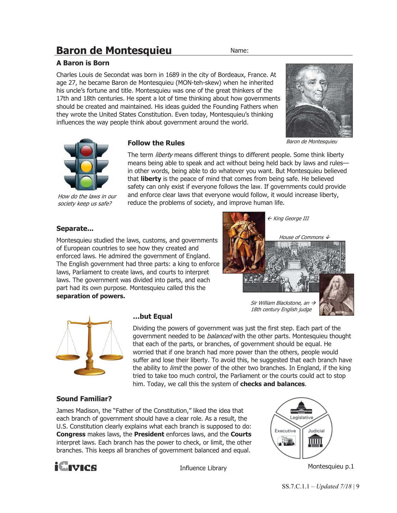# **Baron de Montesquieu** Name:

## **A Baron is Born**

Charles Louis de Secondat was born in 1689 in the city of Bordeaux, France. At age 27, he became Baron de Montesquieu (MON-teh-skew) when he inherited his uncle's fortune and title. Montesquieu was one of the great thinkers of the 17th and 18th centuries. He spent a lot of time thinking about how governments should be created and maintained. His ideas guided the Founding Fathers when they wrote the United States Constitution. Even today, Montesquieu's thinking influences the way people think about government around the world.



How do the laws in our society keep us safe?

#### **Follow the Rules**

The term *liberty* means different things to different people. Some think liberty means being able to speak and act without being held back by laws and rules in other words, being able to do whatever you want. But Montesquieu believed that **liberty** is the peace of mind that comes from being safe. He believed safety can only exist if everyone follows the law. If governments could provide and enforce clear laws that everyone would follow, it would increase liberty, reduce the problems of society, and improve human life.

### **Separate...**

Montesquieu studied the laws, customs, and governments of European countries to see how they created and enforced laws. He admired the government of England. The English government had three parts: a king to enforce laws, Parliament to create laws, and courts to interpret laws. The government was divided into parts, and each part had its own purpose. Montesquieu called this the **separation of powers.** 





#### **…but Equal**

18th century English judge

Dividing the powers of government was just the first step. Each part of the government needed to be *balanced* with the other parts. Montesquieu thought that each of the parts, or branches, of government should be equal. He worried that if one branch had more power than the others, people would suffer and lose their liberty. To avoid this, he suggested that each branch have the ability to *limit* the power of the other two branches. In England, if the king tried to take too much control, the Parliament or the courts could act to stop him. Today, we call this the system of **checks and balances**.

### **Sound Familiar?**

James Madison, the "Father of the Constitution," liked the idea that each branch of government should have a clear role. As a result, the U.S. Constitution clearly explains what each branch is supposed to do: **Congress** makes laws, the **President** enforces laws, and the **Courts** interpret laws. Each branch has the power to check, or limit, the other branches. This keeps all branches of government balanced and equal.



Influence Library



Montesquieu p.1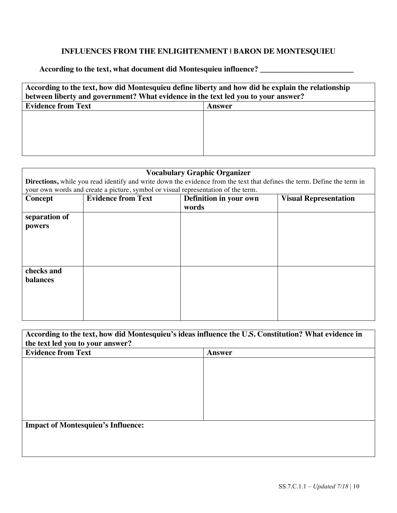# **INFLUENCES FROM THE ENLIGHTENMENT | BARON DE MONTESQUIEU**

**According to the text, what document did Montesquieu influence? \_\_\_\_\_\_\_\_\_\_\_\_\_\_\_\_\_\_\_\_\_\_\_\_**

| According to the text, how did Montesquieu define liberty and how did he explain the relationship<br>between liberty and government? What evidence in the text led you to your answer? |        |  |
|----------------------------------------------------------------------------------------------------------------------------------------------------------------------------------------|--------|--|
| <b>Evidence from Text</b>                                                                                                                                                              | Answer |  |
|                                                                                                                                                                                        |        |  |
|                                                                                                                                                                                        |        |  |
|                                                                                                                                                                                        |        |  |
|                                                                                                                                                                                        |        |  |
|                                                                                                                                                                                        |        |  |

| <b>Vocabulary Graphic Organizer</b> |                                                                                   |                                                                                                                         |  |
|-------------------------------------|-----------------------------------------------------------------------------------|-------------------------------------------------------------------------------------------------------------------------|--|
|                                     |                                                                                   | Directions, while you read identify and write down the evidence from the text that defines the term. Define the term in |  |
|                                     | your own words and create a picture, symbol or visual representation of the term. |                                                                                                                         |  |
| Concept                             | <b>Evidence from Text</b>                                                         | Definition in your own<br><b>Visual Representation</b>                                                                  |  |
|                                     |                                                                                   | words                                                                                                                   |  |
| separation of                       |                                                                                   |                                                                                                                         |  |
| powers                              |                                                                                   |                                                                                                                         |  |
|                                     |                                                                                   |                                                                                                                         |  |
|                                     |                                                                                   |                                                                                                                         |  |
|                                     |                                                                                   |                                                                                                                         |  |
|                                     |                                                                                   |                                                                                                                         |  |
| checks and                          |                                                                                   |                                                                                                                         |  |
| <b>balances</b>                     |                                                                                   |                                                                                                                         |  |
|                                     |                                                                                   |                                                                                                                         |  |
|                                     |                                                                                   |                                                                                                                         |  |
|                                     |                                                                                   |                                                                                                                         |  |
|                                     |                                                                                   |                                                                                                                         |  |

| According to the text, how did Montesquieu's ideas influence the U.S. Constitution? What evidence in<br>the text led you to your answer? |  |  |
|------------------------------------------------------------------------------------------------------------------------------------------|--|--|
| <b>Evidence from Text</b><br><b>Answer</b>                                                                                               |  |  |
|                                                                                                                                          |  |  |
|                                                                                                                                          |  |  |
|                                                                                                                                          |  |  |
|                                                                                                                                          |  |  |
|                                                                                                                                          |  |  |
| <b>Impact of Montesquieu's Influence:</b>                                                                                                |  |  |
|                                                                                                                                          |  |  |
|                                                                                                                                          |  |  |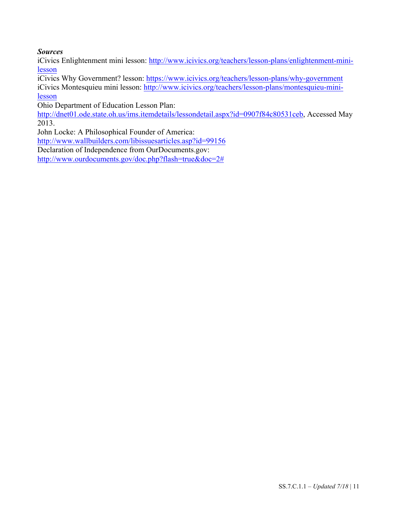# *Sources*

iCivics Enlightenment mini lesson: http://www.icivics.org/teachers/lesson-plans/enlightenment-minilesson

iCivics Why Government? lesson: https://www.icivics.org/teachers/lesson-plans/why-government iCivics Montesquieu mini lesson: http://www.icivics.org/teachers/lesson-plans/montesquieu-minilesson

Ohio Department of Education Lesson Plan:

http://dnet01.ode.state.oh.us/ims.itemdetails/lessondetail.aspx?id=0907f84c80531ceb, Accessed May 2013.

John Locke: A Philosophical Founder of America:

http://www.wallbuilders.com/libissuesarticles.asp?id=99156

Declaration of Independence from OurDocuments.gov:

http://www.ourdocuments.gov/doc.php?flash=true&doc=2#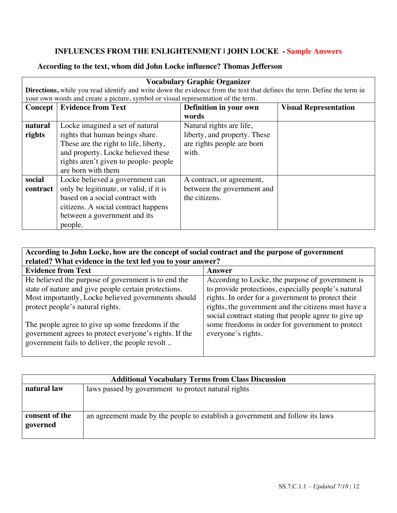# **INFLUENCES FROM THE ENLIGHTENMENT | JOHN LOCKE - Sample Answers**

# **According to the text, whom did John Locke influence? Thomas Jefferson**

| <b>Vocabulary Graphic Organizer</b> |                                                                                                                         |                              |                              |
|-------------------------------------|-------------------------------------------------------------------------------------------------------------------------|------------------------------|------------------------------|
|                                     | Directions, while you read identify and write down the evidence from the text that defines the term. Define the term in |                              |                              |
|                                     | your own words and create a picture, symbol or visual representation of the term.                                       |                              |                              |
|                                     | <b>Concept   Evidence from Text</b>                                                                                     | Definition in your own       | <b>Visual Representation</b> |
|                                     |                                                                                                                         | words                        |                              |
| natural                             | Locke imagined a set of natural                                                                                         | Natural rights are life,     |                              |
| rights                              | rights that human beings share.                                                                                         | liberty, and property. These |                              |
|                                     | These are the right to life, liberty,                                                                                   | are rights people are born   |                              |
|                                     | and property. Locke believed these                                                                                      | with.                        |                              |
|                                     | rights aren't given to people- people                                                                                   |                              |                              |
|                                     | are born with them                                                                                                      |                              |                              |
| social                              | Locke believed a government can                                                                                         | A contract, or agreement,    |                              |
| contract                            | only be legitimate, or valid, if it is                                                                                  | between the government and   |                              |
|                                     | based on a social contract with                                                                                         | the citizens.                |                              |
|                                     | citizens. A social contract happens                                                                                     |                              |                              |
|                                     | between a government and its                                                                                            |                              |                              |
|                                     | people.                                                                                                                 |                              |                              |

| According to John Locke, how are the concept of social contract and the purpose of government<br>related? What evidence in the text led you to your answer?                                            |                                                                                                                                                                                                                                                                              |  |  |
|--------------------------------------------------------------------------------------------------------------------------------------------------------------------------------------------------------|------------------------------------------------------------------------------------------------------------------------------------------------------------------------------------------------------------------------------------------------------------------------------|--|--|
| <b>Evidence from Text</b><br>Answer                                                                                                                                                                    |                                                                                                                                                                                                                                                                              |  |  |
| He believed the purpose of government is to end the<br>state of nature and give people certain protections.<br>Most importantly, Locke believed governments should<br>protect people's natural rights. | According to Locke, the purpose of government is<br>to provide protections, especially people's natural<br>rights. In order for a government to protect their<br>rights, the government and the citizens must have a<br>social contract stating that people agree to give up |  |  |
| The people agree to give up some freedoms if the<br>government agrees to protect everyone's rights. If the<br>government fails to deliver, the people revolt                                           | some freedoms in order for government to protect<br>everyone's rights.                                                                                                                                                                                                       |  |  |

| <b>Additional Vocabulary Terms from Class Discussion</b> |                                                                               |  |
|----------------------------------------------------------|-------------------------------------------------------------------------------|--|
| natural law                                              | laws passed by government to protect natural rights                           |  |
|                                                          |                                                                               |  |
|                                                          |                                                                               |  |
| consent of the                                           | an agreement made by the people to establish a government and follow its laws |  |
| governed                                                 |                                                                               |  |
|                                                          |                                                                               |  |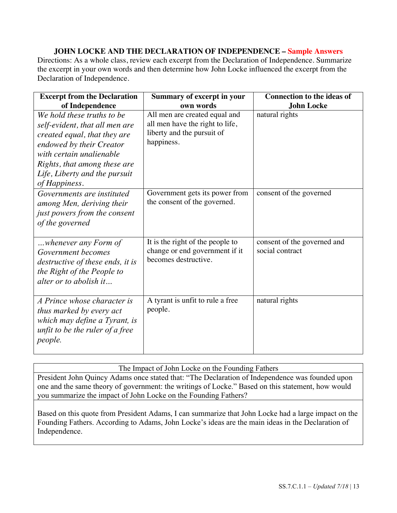# **JOHN LOCKE AND THE DECLARATION OF INDEPENDENCE – Sample Answers**

Directions: As a whole class, review each excerpt from the Declaration of Independence. Summarize the excerpt in your own words and then determine how John Locke influenced the excerpt from the Declaration of Independence.

| <b>Excerpt from the Declaration</b>                                                                                                                                                                                                    | <b>Summary of excerpt in your</b>                                                                            | <b>Connection to the ideas of</b>              |  |
|----------------------------------------------------------------------------------------------------------------------------------------------------------------------------------------------------------------------------------------|--------------------------------------------------------------------------------------------------------------|------------------------------------------------|--|
| of Independence                                                                                                                                                                                                                        | own words                                                                                                    | <b>John Locke</b>                              |  |
| We hold these truths to be<br>self-evident, that all men are<br>created equal, that they are<br>endowed by their Creator<br>with certain unalienable<br>Rights, that among these are<br>Life, Liberty and the pursuit<br>of Happiness. | All men are created equal and<br>all men have the right to life,<br>liberty and the pursuit of<br>happiness. | natural rights                                 |  |
| Governments are instituted<br>among Men, deriving their<br>just powers from the consent<br>of the governed                                                                                                                             | Government gets its power from<br>the consent of the governed.                                               | consent of the governed                        |  |
| whenever any Form of<br>Government becomes<br>destructive of these ends, it is<br>the Right of the People to<br>alter or to abolish it                                                                                                 | It is the right of the people to<br>change or end government if it<br>becomes destructive.                   | consent of the governed and<br>social contract |  |
| A Prince whose character is<br>thus marked by every act<br>which may define a Tyrant, is<br>unfit to be the ruler of a free<br>people.                                                                                                 | A tyrant is unfit to rule a free<br>people.                                                                  | natural rights                                 |  |

The Impact of John Locke on the Founding Fathers

President John Quincy Adams once stated that: "The Declaration of Independence was founded upon one and the same theory of government: the writings of Locke." Based on this statement, how would you summarize the impact of John Locke on the Founding Fathers?

Based on this quote from President Adams, I can summarize that John Locke had a large impact on the Founding Fathers. According to Adams, John Locke's ideas are the main ideas in the Declaration of Independence.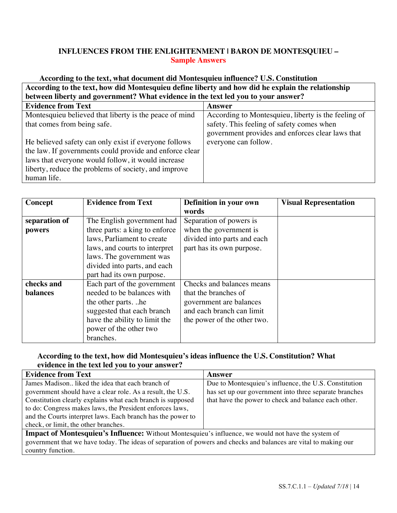# **INFLUENCES FROM THE ENLIGHTENMENT | BARON DE MONTESQUIEU – Sample Answers**

| According to the text, what document did Montesquieu influence? U.S. Constitution                 |                                                     |  |  |  |
|---------------------------------------------------------------------------------------------------|-----------------------------------------------------|--|--|--|
| According to the text, how did Montesquieu define liberty and how did he explain the relationship |                                                     |  |  |  |
| between liberty and government? What evidence in the text led you to your answer?                 |                                                     |  |  |  |
| <b>Evidence from Text</b>                                                                         | Answer                                              |  |  |  |
| Montesquieu believed that liberty is the peace of mind                                            | According to Montesquieu, liberty is the feeling of |  |  |  |
| that comes from being safe.                                                                       | safety. This feeling of safety comes when           |  |  |  |
|                                                                                                   | government provides and enforces clear laws that    |  |  |  |
| He believed safety can only exist if everyone follows                                             | everyone can follow.                                |  |  |  |
| the law. If governments could provide and enforce clear                                           |                                                     |  |  |  |
| laws that everyone would follow, it would increase                                                |                                                     |  |  |  |
| liberty, reduce the problems of society, and improve                                              |                                                     |  |  |  |
| human life.                                                                                       |                                                     |  |  |  |

| Concept         | <b>Evidence from Text</b>      | Definition in your own      | <b>Visual Representation</b> |
|-----------------|--------------------------------|-----------------------------|------------------------------|
|                 |                                | words                       |                              |
| separation of   | The English government had     | Separation of powers is     |                              |
| powers          | three parts: a king to enforce | when the government is      |                              |
|                 | laws, Parliament to create     | divided into parts and each |                              |
|                 | laws, and courts to interpret  | part has its own purpose.   |                              |
|                 | laws. The government was       |                             |                              |
|                 | divided into parts, and each   |                             |                              |
|                 | part had its own purpose.      |                             |                              |
| checks and      | Each part of the government    | Checks and balances means   |                              |
| <b>balances</b> | needed to be balances with     | that the branches of        |                              |
|                 | the other partshe              | government are balances     |                              |
|                 | suggested that each branch     | and each branch can limit   |                              |
|                 | have the ability to limit the  | the power of the other two. |                              |
|                 | power of the other two         |                             |                              |
|                 | branches.                      |                             |                              |

# **According to the text, how did Montesquieu's ideas influence the U.S. Constitution? What evidence in the text led you to your answer?**

| <b>Evidence from Text</b>                                                                                        | Answer                                                 |  |  |
|------------------------------------------------------------------------------------------------------------------|--------------------------------------------------------|--|--|
| James Madison liked the idea that each branch of                                                                 | Due to Montesquieu's influence, the U.S. Constitution  |  |  |
| government should have a clear role. As a result, the U.S.                                                       | has set up our government into three separate branches |  |  |
| Constitution clearly explains what each branch is supposed                                                       | that have the power to check and balance each other.   |  |  |
| to do: Congress makes laws, the President enforces laws,                                                         |                                                        |  |  |
| and the Courts interpret laws. Each branch has the power to                                                      |                                                        |  |  |
| check, or limit, the other branches.                                                                             |                                                        |  |  |
| <b>Impact of Montesquieu's Influence:</b> Without Montesquieu's influence, we would not have the system of       |                                                        |  |  |
| government that we have today. The ideas of separation of powers and checks and balances are vital to making our |                                                        |  |  |
| country function.                                                                                                |                                                        |  |  |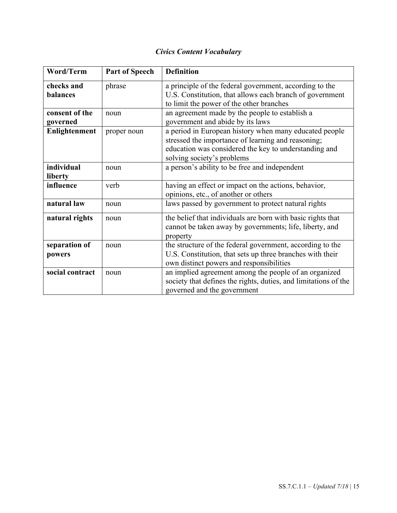# *Civics Content Vocabulary*

| Word/Term                  | <b>Part of Speech</b> | <b>Definition</b>                                                                                                                                                                                   |
|----------------------------|-----------------------|-----------------------------------------------------------------------------------------------------------------------------------------------------------------------------------------------------|
| checks and<br>balances     | phrase                | a principle of the federal government, according to the<br>U.S. Constitution, that allows each branch of government<br>to limit the power of the other branches                                     |
| consent of the<br>governed | noun                  | an agreement made by the people to establish a<br>government and abide by its laws                                                                                                                  |
| Enlightenment              | proper noun           | a period in European history when many educated people<br>stressed the importance of learning and reasoning;<br>education was considered the key to understanding and<br>solving society's problems |
| individual<br>liberty      | noun                  | a person's ability to be free and independent                                                                                                                                                       |
| influence                  | verb                  | having an effect or impact on the actions, behavior,<br>opinions, etc., of another or others                                                                                                        |
| natural law                | noun                  | laws passed by government to protect natural rights                                                                                                                                                 |
| natural rights             | noun                  | the belief that individuals are born with basic rights that<br>cannot be taken away by governments; life, liberty, and<br>property                                                                  |
| separation of<br>powers    | noun                  | the structure of the federal government, according to the<br>U.S. Constitution, that sets up three branches with their<br>own distinct powers and responsibilities                                  |
| social contract            | noun                  | an implied agreement among the people of an organized<br>society that defines the rights, duties, and limitations of the<br>governed and the government                                             |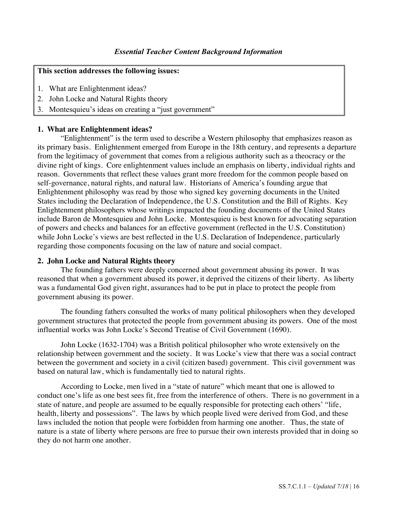#### **This section addresses the following issues:**

- 1. What are Enlightenment ideas?
- 2. John Locke and Natural Rights theory
- 3. Montesquieu's ideas on creating a "just government"

### **1. What are Enlightenment ideas?**

"Enlightenment" is the term used to describe a Western philosophy that emphasizes reason as its primary basis. Enlightenment emerged from Europe in the 18th century, and represents a departure from the legitimacy of government that comes from a religious authority such as a theocracy or the divine right of kings. Core enlightenment values include an emphasis on liberty, individual rights and reason. Governments that reflect these values grant more freedom for the common people based on self-governance, natural rights, and natural law. Historians of America's founding argue that Enlightenment philosophy was read by those who signed key governing documents in the United States including the Declaration of Independence, the U.S. Constitution and the Bill of Rights. Key Enlightenment philosophers whose writings impacted the founding documents of the United States include Baron de Montesquieu and John Locke. Montesquieu is best known for advocating separation of powers and checks and balances for an effective government (reflected in the U.S. Constitution) while John Locke's views are best reflected in the U.S. Declaration of Independence, particularly regarding those components focusing on the law of nature and social compact.

## **2. John Locke and Natural Rights theory**

The founding fathers were deeply concerned about government abusing its power. It was reasoned that when a government abused its power, it deprived the citizens of their liberty. As liberty was a fundamental God given right, assurances had to be put in place to protect the people from government abusing its power.

The founding fathers consulted the works of many political philosophers when they developed government structures that protected the people from government abusing its powers. One of the most influential works was John Locke's Second Treatise of Civil Government (1690).

John Locke (1632-1704) was a British political philosopher who wrote extensively on the relationship between government and the society. It was Locke's view that there was a social contract between the government and society in a civil (citizen based) government. This civil government was based on natural law, which is fundamentally tied to natural rights.

According to Locke, men lived in a "state of nature" which meant that one is allowed to conduct one's life as one best sees fit, free from the interference of others. There is no government in a state of nature, and people are assumed to be equally responsible for protecting each others' "life, health, liberty and possessions". The laws by which people lived were derived from God, and these laws included the notion that people were forbidden from harming one another. Thus, the state of nature is a state of liberty where persons are free to pursue their own interests provided that in doing so they do not harm one another.